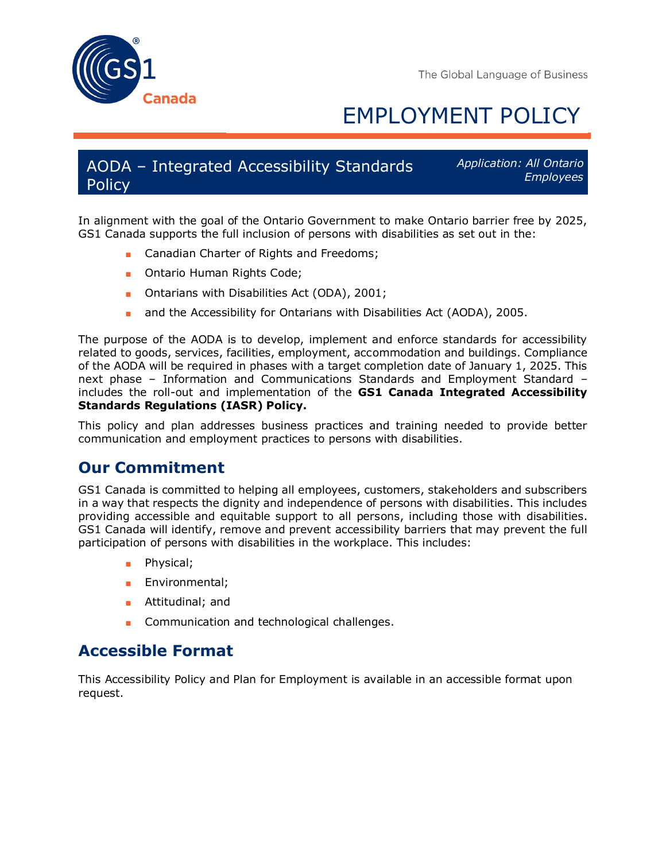



# EMPLOYMENT POLICY

### AODA – Integrated Accessibility Standards Policy

*Application: All Ontario Employees* 

In alignment with the goal of the Ontario Government to make Ontario barrier free by 2025, GS1 Canada supports the full inclusion of persons with disabilities as set out in the:

- Canadian Charter of Rights and Freedoms;
- Ontario Human Rights Code;
- Ontarians with Disabilities Act (ODA), 2001;
- and the Accessibility for Ontarians with Disabilities Act (AODA), 2005.

The purpose of the AODA is to develop, implement and enforce standards for accessibility related to goods, services, facilities, employment, accommodation and buildings. Compliance of the AODA will be required in phases with a target completion date of January 1, 2025. This next phase – Information and Communications Standards and Employment Standard – includes the roll-out and implementation of the **GS1 Canada Integrated Accessibility Standards Regulations (IASR) Policy.**

This policy and plan addresses business practices and training needed to provide better communication and employment practices to persons with disabilities.

# **Our Commitment**

GS1 Canada is committed to helping all employees, customers, stakeholders and subscribers in a way that respects the dignity and independence of persons with disabilities. This includes providing accessible and equitable support to all persons, including those with disabilities. GS1 Canada will identify, remove and prevent accessibility barriers that may prevent the full participation of persons with disabilities in the workplace. This includes:

- Physical;
- Environmental:
- Attitudinal; and
- Communication and technological challenges.

# **Accessible Format**

This Accessibility Policy and Plan for Employment is available in an accessible format upon request.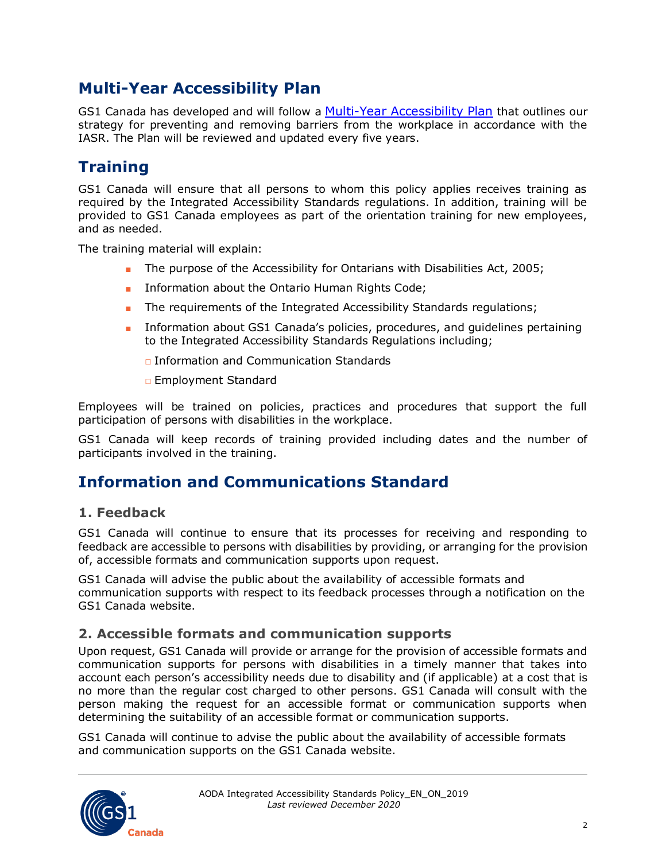# **Multi-Year Accessibility Plan**

GS1 Canada has developed and will follow a [Multi-Year Accessibility Plan](http://www.gs1ca.org/pages/n/aboutus/GS1-Canada-AODA-Multi-year-plan.pdf) that outlines our strategy for preventing and removing barriers from the workplace in accordance with the IASR. The Plan will be reviewed and updated every five years.

# **Training**

GS1 Canada will ensure that all persons to whom this policy applies receives training as required by the Integrated Accessibility Standards regulations. In addition, training will be provided to GS1 Canada employees as part of the orientation training for new employees, and as needed.

The training material will explain:

- The purpose of the Accessibility for Ontarians with Disabilities Act, 2005;
- Information about the Ontario Human Rights Code;
- The requirements of the Integrated Accessibility Standards regulations;
- Information about GS1 Canada's policies, procedures, and guidelines pertaining to the Integrated Accessibility Standards Regulations including;

□ Information and Communication Standards

□ Employment Standard

Employees will be trained on policies, practices and procedures that support the full participation of persons with disabilities in the workplace.

GS1 Canada will keep records of training provided including dates and the number of participants involved in the training.

# **Information and Communications Standard**

#### **1. Feedback**

GS1 Canada will continue to ensure that its processes for receiving and responding to feedback are accessible to persons with disabilities by providing, or arranging for the provision of, accessible formats and communication supports upon request.

GS1 Canada will advise the public about the availability of accessible formats and communication supports with respect to its feedback processes through a notification on the GS1 Canada website.

#### **2. Accessible formats and communication supports**

Upon request, GS1 Canada will provide or arrange for the provision of accessible formats and communication supports for persons with disabilities in a timely manner that takes into account each person's accessibility needs due to disability and (if applicable) at a cost that is no more than the regular cost charged to other persons. GS1 Canada will consult with the person making the request for an accessible format or communication supports when determining the suitability of an accessible format or communication supports.

GS1 Canada will continue to advise the public about the availability of accessible formats and communication supports on the GS1 Canada website.

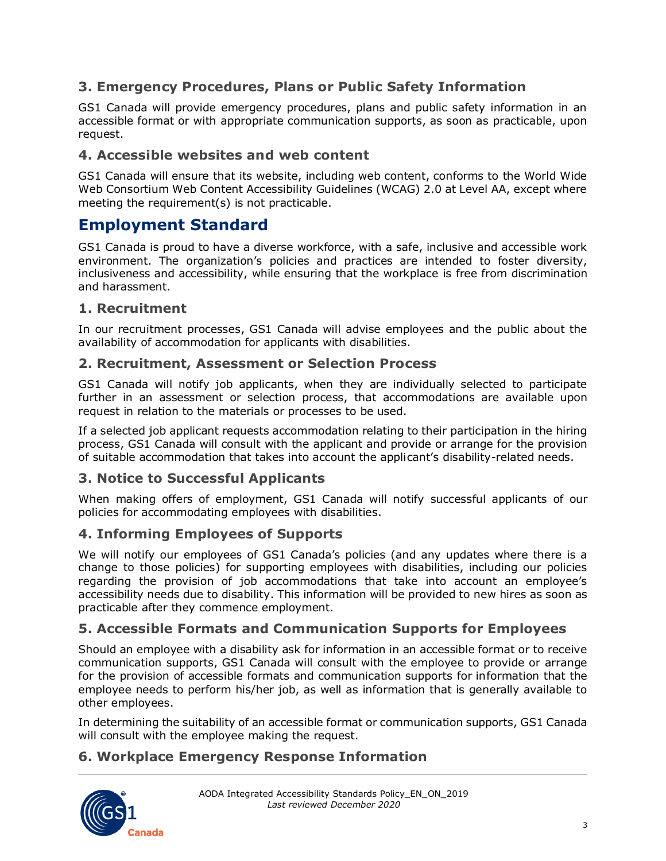#### **3. Emergency Procedures, Plans or Public Safety Information**

GS1 Canada will provide emergency procedures, plans and public safety information in an accessible format or with appropriate communication supports, as soon as practicable, upon request.

#### **4. Accessible websites and web content**

GS1 Canada will ensure that its website, including web content, conforms to the World Wide Web Consortium Web Content Accessibility Guidelines (WCAG) 2.0 at Level AA, except where meeting the requirement(s) is not practicable.

# **Employment Standard**

GS1 Canada is proud to have a diverse workforce, with a safe, inclusive and accessible work environment. The organization's policies and practices are intended to foster diversity, inclusiveness and accessibility, while ensuring that the workplace is free from discrimination and harassment.

#### **1. Recruitment**

In our recruitment processes, GS1 Canada will advise employees and the public about the availability of accommodation for applicants with disabilities.

#### **2. Recruitment, Assessment or Selection Process**

GS1 Canada will notify job applicants, when they are individually selected to participate further in an assessment or selection process, that accommodations are available upon request in relation to the materials or processes to be used.

If a selected job applicant requests accommodation relating to their participation in the hiring process, GS1 Canada will consult with the applicant and provide or arrange for the provision of suitable accommodation that takes into account the applicant's disability-related needs.

#### **3. Notice to Successful Applicants**

When making offers of employment, GS1 Canada will notify successful applicants of our policies for accommodating employees with disabilities.

#### **4. Informing Employees of Supports**

We will notify our employees of GS1 Canada's policies (and any updates where there is a change to those policies) for supporting employees with disabilities, including our policies regarding the provision of job accommodations that take into account an employee's accessibility needs due to disability. This information will be provided to new hires as soon as practicable after they commence employment.

#### **5. Accessible Formats and Communication Supports for Employees**

Should an employee with a disability ask for information in an accessible format or to receive communication supports, GS1 Canada will consult with the employee to provide or arrange for the provision of accessible formats and communication supports for information that the employee needs to perform his/her job, as well as information that is generally available to other employees.

In determining the suitability of an accessible format or communication supports, GS1 Canada will consult with the employee making the request.

#### **6. Workplace Emergency Response Information**